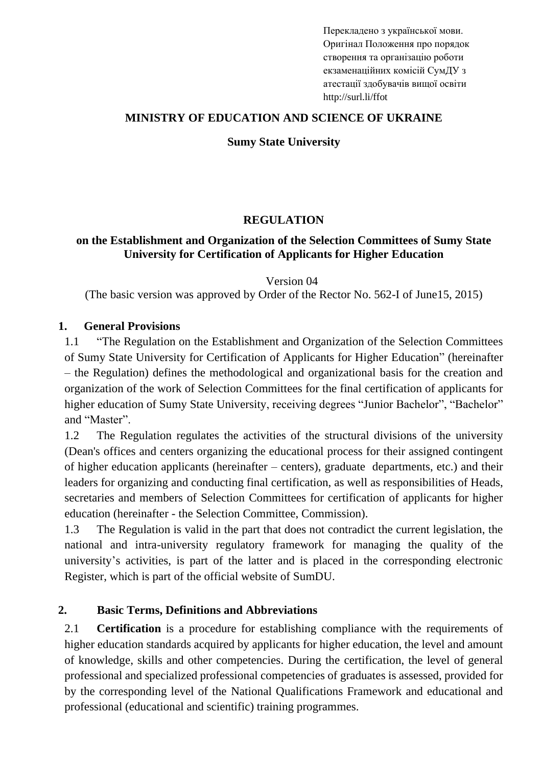Перекладено з української мови. Оригінал Положення про порядок створення та організацію роботи екзаменаційних комісій СумДУ з атестації здобувачів вищої освіти http://surl.li/ffot

### **MINISTRY OF EDUCATION AND SCIENCE OF UKRAINE**

#### **Sumy State University**

### **REGULATION**

### **on the Establishment and Organization of the Selection Committees of Sumy State University for Certification of Applicants for Higher Education**

Version 04

(The basic version was approved by Order of the Rector No. 562-I of June15, 2015)

#### **1. General Provisions**

1.1 "The Regulation on the Establishment and Organization of the Selection Committees of Sumy State University for Certification of Applicants for Higher Education" (hereinafter – the Regulation) defines the methodological and organizational basis for the creation and organization of the work of Selection Committees for the final certification of applicants for higher education of Sumy State University, receiving degrees "Junior Bachelor", "Bachelor" and "Master".

1.2 The Regulation regulates the activities of the structural divisions of the university (Dean's offices and centers organizing the educational process for their assigned contingent of higher education applicants (hereinafter – centers), graduate departments, etc.) and their leaders for organizing and conducting final certification, as well as responsibilities of Heads, secretaries and members of Selection Committees for certification of applicants for higher education (hereinafter - the Selection Committee, Commission).

1.3 The Regulation is valid in the part that does not contradict the current legislation, the national and intra-university regulatory framework for managing the quality of the university's activities, is part of the latter and is placed in the corresponding electronic Register, which is part of the official website of SumDU.

## **2. Basic Terms, Definitions and Abbreviations**

2.1 **Certification** is a procedure for establishing compliance with the requirements of higher education standards acquired by applicants for higher education, the level and amount of knowledge, skills and other competencies. During the certification, the level of general professional and specialized professional competencies of graduates is assessed, provided for by the corresponding level of the National Qualifications Framework and educational and professional (educational and scientific) training programmes.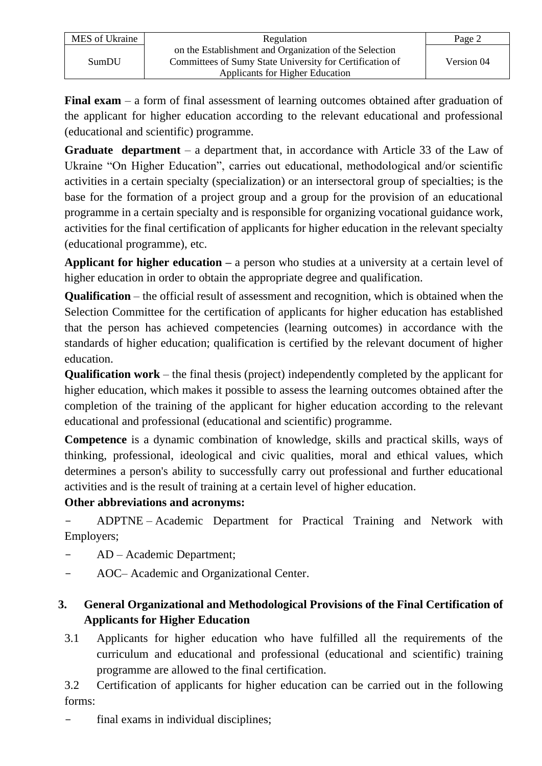| MES of Ukraine | Regulation                                               | Page 2     |
|----------------|----------------------------------------------------------|------------|
| SumDU          | on the Establishment and Organization of the Selection   |            |
|                | Committees of Sumy State University for Certification of | Version 04 |
|                | Applicants for Higher Education                          |            |

**Final exam** – a form of final assessment of learning outcomes obtained after graduation of the applicant for higher education according to the relevant educational and professional (educational and scientific) programme.

**Graduate department** – a department that, in accordance with Article 33 of the Law of Ukraine "On Higher Education", carries out educational, methodological and/or scientific activities in a certain specialty (specialization) or an intersectoral group of specialties; is the base for the formation of a project group and a group for the provision of an educational programme in a certain specialty and is responsible for organizing vocational guidance work, activities for the final certification of applicants for higher education in the relevant specialty (educational programme), etc.

**Applicant for higher education –** a person who studies at a university at a certain level of higher education in order to obtain the appropriate degree and qualification.

**Qualification** – the official result of assessment and recognition, which is obtained when the Selection Committee for the certification of applicants for higher education has established that the person has achieved competencies (learning outcomes) in accordance with the standards of higher education; qualification is certified by the relevant document of higher education.

**Qualification work** – the final thesis (project) independently completed by the applicant for higher education, which makes it possible to assess the learning outcomes obtained after the completion of the training of the applicant for higher education according to the relevant educational and professional (educational and scientific) programme.

**Competence** is a dynamic combination of knowledge, skills and practical skills, ways of thinking, professional, ideological and civic qualities, moral and ethical values, which determines a person's ability to successfully carry out professional and further educational activities and is the result of training at a certain level of higher education.

## **Other abbreviations and acronyms:**

- ADPTNE – Academic Department for Practical Training and Network with Employers;

- AD Academic Department;
- AOC– Academic and Organizational Center.

# **3. General Organizational and Methodological Provisions of the Final Certification of Applicants for Higher Education**

3.1 Applicants for higher education who have fulfilled all the requirements of the curriculum and educational and professional (educational and scientific) training programme are allowed to the final certification.

3.2 Certification of applicants for higher education can be carried out in the following forms:

final exams in individual disciplines;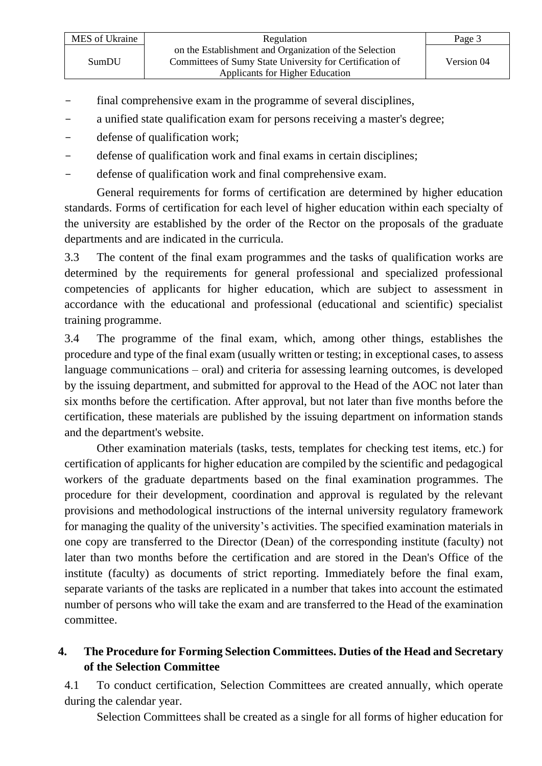| MES of Ukraine | Regulation                                                                                                         | Page 3     |
|----------------|--------------------------------------------------------------------------------------------------------------------|------------|
| SumDU          | on the Establishment and Organization of the Selection<br>Committees of Sumy State University for Certification of | Version 04 |
|                | Applicants for Higher Education                                                                                    |            |

- final comprehensive exam in the programme of several disciplines,
- a unified state qualification exam for persons receiving a master's degree;
- defense of qualification work;
- defense of qualification work and final exams in certain disciplines;
- defense of qualification work and final comprehensive exam.

General requirements for forms of certification are determined by higher education standards. Forms of certification for each level of higher education within each specialty of the university are established by the order of the Rector on the proposals of the graduate departments and are indicated in the curricula.

3.3 The content of the final exam programmes and the tasks of qualification works are determined by the requirements for general professional and specialized professional competencies of applicants for higher education, which are subject to assessment in accordance with the educational and professional (educational and scientific) specialist training programme.

3.4 The programme of the final exam, which, among other things, establishes the procedure and type of the final exam (usually written or testing; in exceptional cases, to assess language communications – oral) and criteria for assessing learning outcomes, is developed by the issuing department, and submitted for approval to the Head of the AOC not later than six months before the certification. After approval, but not later than five months before the certification, these materials are published by the issuing department on information stands and the department's website.

Other examination materials (tasks, tests, templates for checking test items, etc.) for certification of applicants for higher education are compiled by the scientific and pedagogical workers of the graduate departments based on the final examination programmes. The procedure for their development, coordination and approval is regulated by the relevant provisions and methodological instructions of the internal university regulatory framework for managing the quality of the university's activities. The specified examination materials in one copy are transferred to the Director (Dean) of the corresponding institute (faculty) not later than two months before the certification and are stored in the Dean's Office of the institute (faculty) as documents of strict reporting. Immediately before the final exam, separate variants of the tasks are replicated in a number that takes into account the estimated number of persons who will take the exam and are transferred to the Head of the examination committee.

## **4. The Procedure for Forming Selection Committees. Duties of the Head and Secretary of the Selection Committee**

4.1 To conduct certification, Selection Committees are created annually, which operate during the calendar year.

Selection Committees shall be created as a single for all forms of higher education for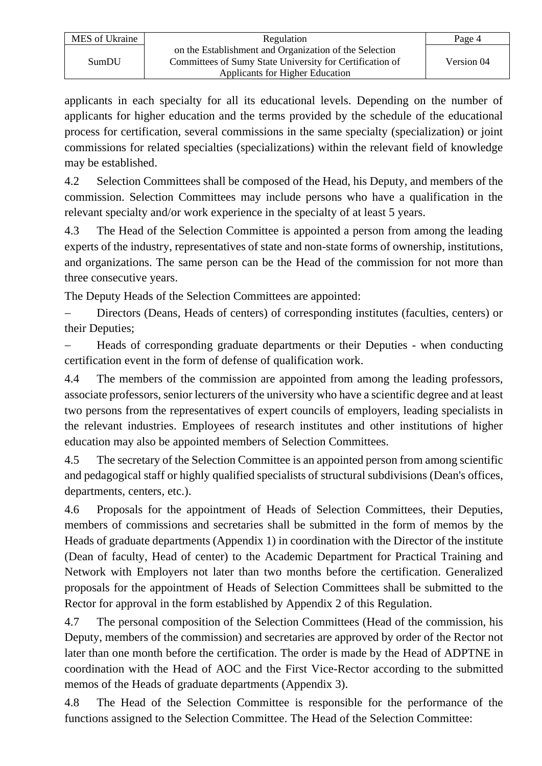| MES of Ukraine | Regulation                                                                                                         | Page 4     |
|----------------|--------------------------------------------------------------------------------------------------------------------|------------|
| SumDU          | on the Establishment and Organization of the Selection<br>Committees of Sumy State University for Certification of | Version 04 |
|                | Applicants for Higher Education                                                                                    |            |

applicants in each specialty for all its educational levels. Depending on the number of applicants for higher education and the terms provided by the schedule of the educational process for certification, several commissions in the same specialty (specialization) or joint commissions for related specialties (specializations) within the relevant field of knowledge may be established.

4.2 Selection Committees shall be composed of the Head, his Deputy, and members of the commission. Selection Committees may include persons who have a qualification in the relevant specialty and/or work experience in the specialty of at least 5 years.

4.3 The Head of the Selection Committee is appointed a person from among the leading experts of the industry, representatives of state and non-state forms of ownership, institutions, and organizations. The same person can be the Head of the commission for not more than three consecutive years.

The Deputy Heads of the Selection Committees are appointed:

Directors (Deans, Heads of centers) of corresponding institutes (faculties, centers) or their Deputies;

− Heads of corresponding graduate departments or their Deputies - when conducting certification event in the form of defense of qualification work.

4.4 The members of the commission are appointed from among the leading professors, associate professors, senior lecturers of the university who have a scientific degree and at least two persons from the representatives of expert councils of employers, leading specialists in the relevant industries. Employees of research institutes and other institutions of higher education may also be appointed members of Selection Committees.

4.5 The secretary of the Selection Committee is an appointed person from among scientific and pedagogical staff or highly qualified specialists of structural subdivisions (Dean's offices, departments, centers, etc.).

4.6 Proposals for the appointment of Heads of Selection Committees, their Deputies, members of commissions and secretaries shall be submitted in the form of memos by the Heads of graduate departments (Appendix 1) in coordination with the Director of the institute (Dean of faculty, Head of center) to the Academic Department for Practical Training and Network with Employers not later than two months before the certification. Generalized proposals for the appointment of Heads of Selection Committees shall be submitted to the Rector for approval in the form established by Appendix 2 of this Regulation.

4.7 The personal composition of the Selection Committees (Head of the commission, his Deputy, members of the commission) and secretaries are approved by order of the Rector not later than one month before the certification. The order is made by the Head of ADPTNE in coordination with the Head of AOC and the First Vice-Rector according to the submitted memos of the Heads of graduate departments (Appendix 3).

4.8 The Head of the Selection Committee is responsible for the performance of the functions assigned to the Selection Committee. The Head of the Selection Committee: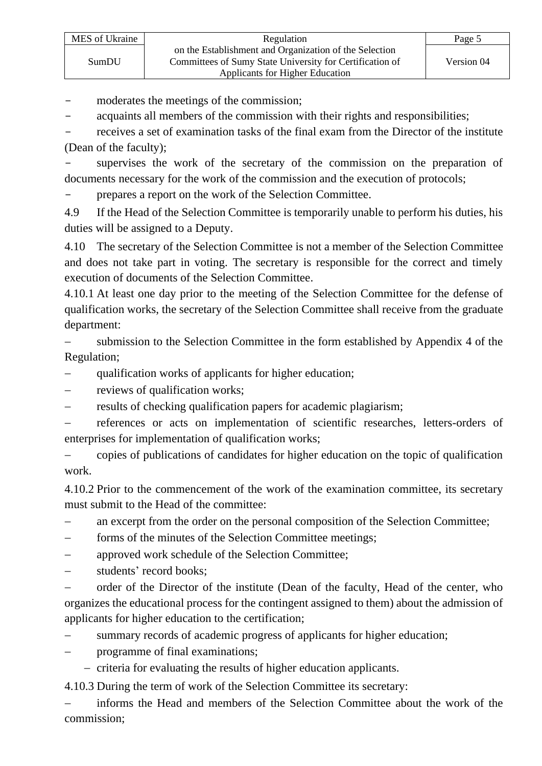moderates the meetings of the commission;

- acquaints all members of the commission with their rights and responsibilities;

receives a set of examination tasks of the final exam from the Director of the institute (Dean of the faculty);

supervises the work of the secretary of the commission on the preparation of documents necessary for the work of the commission and the execution of protocols;

prepares a report on the work of the Selection Committee.

4.9 If the Head of the Selection Committee is temporarily unable to perform his duties, his duties will be assigned to a Deputy.

4.10 The secretary of the Selection Committee is not a member of the Selection Committee and does not take part in voting. The secretary is responsible for the correct and timely execution of documents of the Selection Committee.

4.10.1 At least one day prior to the meeting of the Selection Committee for the defense of qualification works, the secretary of the Selection Committee shall receive from the graduate department:

submission to the Selection Committee in the form established by Appendix 4 of the Regulation;

qualification works of applicants for higher education;

- − reviews of qualification works;
- results of checking qualification papers for academic plagiarism;

− references or acts on implementation of scientific researches, letters-orders of enterprises for implementation of qualification works;

− copies of publications of candidates for higher education on the topic of qualification work.

4.10.2 Prior to the commencement of the work of the examination committee, its secretary must submit to the Head of the committee:

an excerpt from the order on the personal composition of the Selection Committee;

− forms of the minutes of the Selection Committee meetings;

− approved work schedule of the Selection Committee;

students' record books;

− order of the Director of the institute (Dean of the faculty, Head of the center, who organizes the educational process for the contingent assigned to them) about the admission of applicants for higher education to the certification;

summary records of academic progress of applicants for higher education;

− programme of final examinations;

− criteria for evaluating the results of higher education applicants.

4.10.3 During the term of work of the Selection Committee its secretary:

informs the Head and members of the Selection Committee about the work of the commission;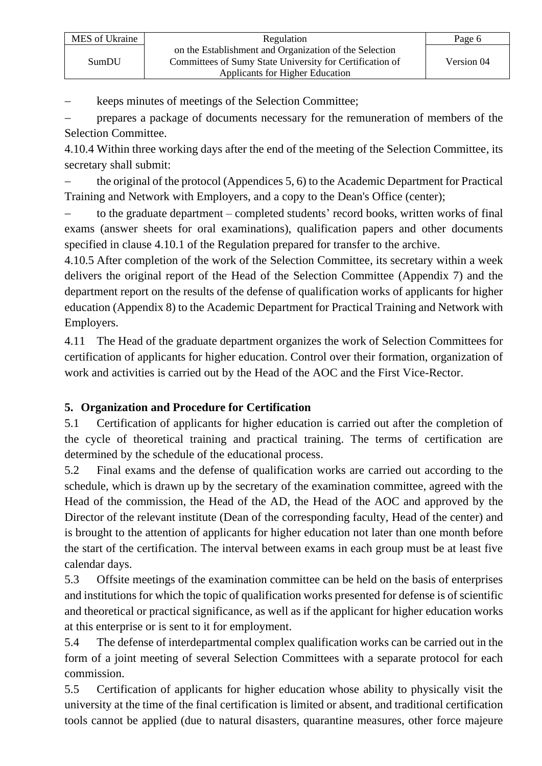keeps minutes of meetings of the Selection Committee;

prepares a package of documents necessary for the remuneration of members of the Selection Committee.

4.10.4 Within three working days after the end of the meeting of the Selection Committee, its secretary shall submit:

− the original of the protocol (Appendices 5, 6) to the Academic Department for Practical Training and Network with Employers, and a copy to the Dean's Office (center);

to the graduate department – completed students' record books, written works of final exams (answer sheets for oral examinations), qualification papers and other documents specified in clause 4.10.1 of the Regulation prepared for transfer to the archive.

4.10.5 After completion of the work of the Selection Committee, its secretary within a week delivers the original report of the Head of the Selection Committee (Appendix 7) and the department report on the results of the defense of qualification works of applicants for higher education (Appendix 8) to the Academic Department for Practical Training and Network with Employers.

4.11 The Head of the graduate department organizes the work of Selection Committees for certification of applicants for higher education. Control over their formation, organization of work and activities is carried out by the Head of the AOC and the First Vice-Rector.

# **5. Organization and Procedure for Certification**

5.1 Certification of applicants for higher education is carried out after the completion of the cycle of theoretical training and practical training. The terms of certification are determined by the schedule of the educational process.

5.2 Final exams and the defense of qualification works are carried out according to the schedule, which is drawn up by the secretary of the examination committee, agreed with the Head of the commission, the Head of the AD, the Head of the AOC and approved by the Director of the relevant institute (Dean of the corresponding faculty, Head of the center) and is brought to the attention of applicants for higher education not later than one month before the start of the certification. The interval between exams in each group must be at least five calendar days.

5.3 Offsite meetings of the examination committee can be held on the basis of enterprises and institutions for which the topic of qualification works presented for defense is of scientific and theoretical or practical significance, as well as if the applicant for higher education works at this enterprise or is sent to it for employment.

5.4 The defense of interdepartmental complex qualification works can be carried out in the form of a joint meeting of several Selection Committees with a separate protocol for each commission.

5.5 Certification of applicants for higher education whose ability to physically visit the university at the time of the final certification is limited or absent, and traditional certification tools cannot be applied (due to natural disasters, quarantine measures, other force majeure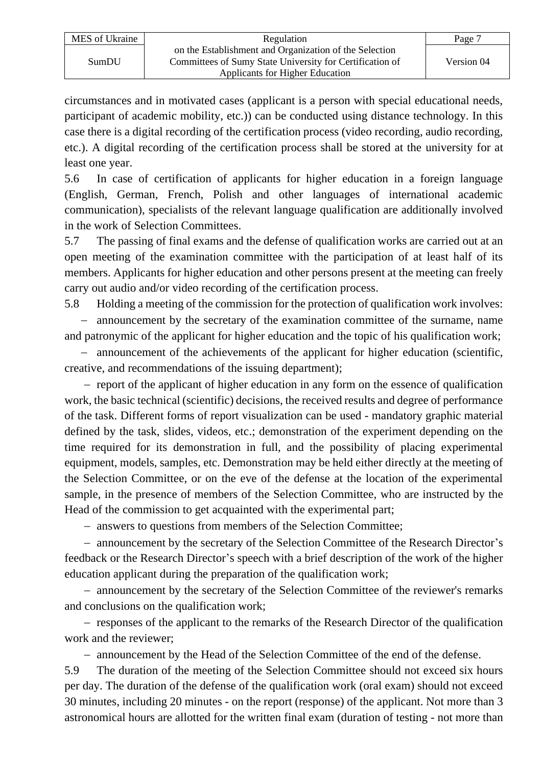| MES of Ukraine | Regulation                                               | Page 7     |
|----------------|----------------------------------------------------------|------------|
| SumDU          | on the Establishment and Organization of the Selection   |            |
|                | Committees of Sumy State University for Certification of | Version 04 |
|                | Applicants for Higher Education                          |            |

circumstances and in motivated cases (applicant is a person with special educational needs, participant of academic mobility, etc.)) can be conducted using distance technology. In this case there is a digital recording of the certification process (video recording, audio recording, etc.). A digital recording of the certification process shall be stored at the university for at least one year.

5.6 In case of certification of applicants for higher education in a foreign language (English, German, French, Polish and other languages of international academic communication), specialists of the relevant language qualification are additionally involved in the work of Selection Committees.

5.7 The passing of final exams and the defense of qualification works are carried out at an open meeting of the examination committee with the participation of at least half of its members. Applicants for higher education and other persons present at the meeting can freely carry out audio and/or video recording of the certification process.

5.8 Holding a meeting of the commission for the protection of qualification work involves:

− announcement by the secretary of the examination committee of the surname, name and patronymic of the applicant for higher education and the topic of his qualification work;

− announcement of the achievements of the applicant for higher education (scientific, creative, and recommendations of the issuing department);

− report of the applicant of higher education in any form on the essence of qualification work, the basic technical (scientific) decisions, the received results and degree of performance of the task. Different forms of report visualization can be used - mandatory graphic material defined by the task, slides, videos, etc.; demonstration of the experiment depending on the time required for its demonstration in full, and the possibility of placing experimental equipment, models, samples, etc. Demonstration may be held either directly at the meeting of the Selection Committee, or on the eve of the defense at the location of the experimental sample, in the presence of members of the Selection Committee, who are instructed by the Head of the commission to get acquainted with the experimental part;

− answers to questions from members of the Selection Committee;

− announcement by the secretary of the Selection Committee of the Research Director's feedback or the Research Director's speech with a brief description of the work of the higher education applicant during the preparation of the qualification work;

− announcement by the secretary of the Selection Committee of the reviewer's remarks and conclusions on the qualification work;

− responses of the applicant to the remarks of the Research Director of the qualification work and the reviewer;

− announcement by the Head of the Selection Committee of the end of the defense.

5.9 The duration of the meeting of the Selection Committee should not exceed six hours per day. The duration of the defense of the qualification work (oral exam) should not exceed 30 minutes, including 20 minutes - on the report (response) of the applicant. Not more than 3 astronomical hours are allotted for the written final exam (duration of testing - not more than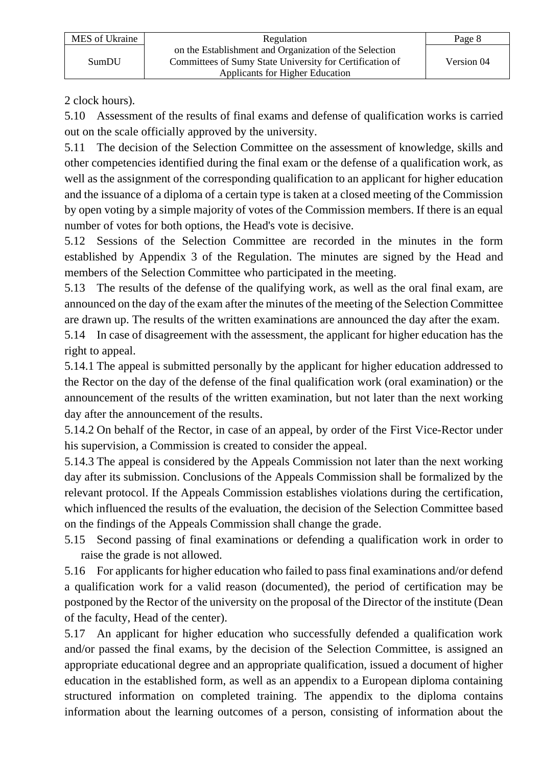2 clock hours).

5.10 Assessment of the results of final exams and defense of qualification works is carried out on the scale officially approved by the university.

5.11 The decision of the Selection Committee on the assessment of knowledge, skills and other competencies identified during the final exam or the defense of a qualification work, as well as the assignment of the corresponding qualification to an applicant for higher education and the issuance of a diploma of a certain type is taken at a closed meeting of the Commission by open voting by a simple majority of votes of the Commission members. If there is an equal number of votes for both options, the Head's vote is decisive.

5.12 Sessions of the Selection Committee are recorded in the minutes in the form established by Appendix 3 of the Regulation. The minutes are signed by the Head and members of the Selection Committee who participated in the meeting.

5.13 The results of the defense of the qualifying work, as well as the oral final exam, are announced on the day of the exam after the minutes of the meeting of the Selection Committee are drawn up. The results of the written examinations are announced the day after the exam.

5.14 In case of disagreement with the assessment, the applicant for higher education has the right to appeal.

5.14.1 The appeal is submitted personally by the applicant for higher education addressed to the Rector on the day of the defense of the final qualification work (oral examination) or the announcement of the results of the written examination, but not later than the next working day after the announcement of the results.

5.14.2 On behalf of the Rector, in case of an appeal, by order of the First Vice-Rector under his supervision, a Commission is created to consider the appeal.

5.14.3 The appeal is considered by the Appeals Commission not later than the next working day after its submission. Conclusions of the Appeals Commission shall be formalized by the relevant protocol. If the Appeals Commission establishes violations during the certification, which influenced the results of the evaluation, the decision of the Selection Committee based on the findings of the Appeals Commission shall change the grade.

5.15 Second passing of final examinations or defending a qualification work in order to raise the grade is not allowed.

5.16 For applicants for higher education who failed to pass final examinations and/or defend a qualification work for a valid reason (documented), the period of certification may be postponed by the Rector of the university on the proposal of the Director of the institute (Dean of the faculty, Head of the center).

5.17 An applicant for higher education who successfully defended a qualification work and/or passed the final exams, by the decision of the Selection Committee, is assigned an appropriate educational degree and an appropriate qualification, issued a document of higher education in the established form, as well as an appendix to a European diploma containing structured information on completed training. The appendix to the diploma contains information about the learning outcomes of a person, consisting of information about the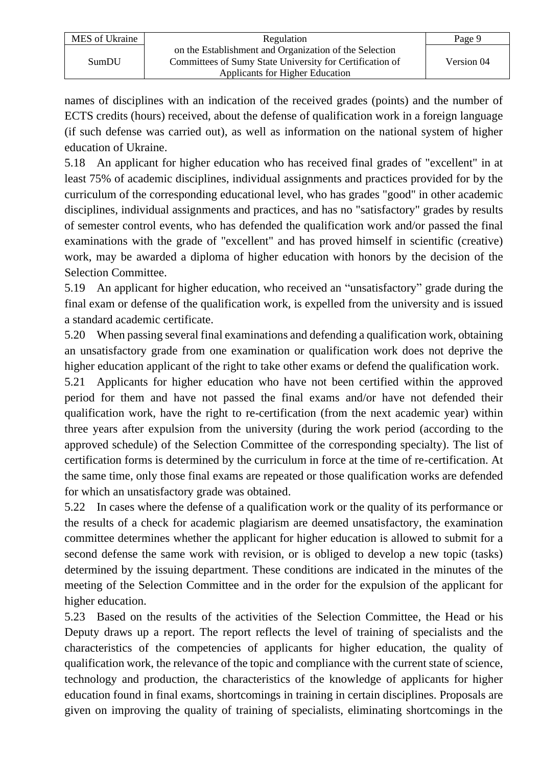| MES of Ukraine | Regulation                                                                                                         | Page 9     |
|----------------|--------------------------------------------------------------------------------------------------------------------|------------|
| SumDU          | on the Establishment and Organization of the Selection<br>Committees of Sumy State University for Certification of | Version 04 |
|                | Applicants for Higher Education                                                                                    |            |

names of disciplines with an indication of the received grades (points) and the number of ECTS credits (hours) received, about the defense of qualification work in a foreign language (if such defense was carried out), as well as information on the national system of higher education of Ukraine.

5.18 An applicant for higher education who has received final grades of "excellent" in at least 75% of academic disciplines, individual assignments and practices provided for by the curriculum of the corresponding educational level, who has grades "good" in other academic disciplines, individual assignments and practices, and has no "satisfactory" grades by results of semester control events, who has defended the qualification work and/or passed the final examinations with the grade of "excellent" and has proved himself in scientific (creative) work, may be awarded a diploma of higher education with honors by the decision of the Selection Committee.

5.19 An applicant for higher education, who received an "unsatisfactory" grade during the final exam or defense of the qualification work, is expelled from the university and is issued a standard academic certificate.

5.20 When passing several final examinations and defending a qualification work, obtaining an unsatisfactory grade from one examination or qualification work does not deprive the higher education applicant of the right to take other exams or defend the qualification work.

5.21 Applicants for higher education who have not been certified within the approved period for them and have not passed the final exams and/or have not defended their qualification work, have the right to re-certification (from the next academic year) within three years after expulsion from the university (during the work period (according to the approved schedule) of the Selection Committee of the corresponding specialty). The list of certification forms is determined by the curriculum in force at the time of re-certification. At the same time, only those final exams are repeated or those qualification works are defended for which an unsatisfactory grade was obtained.

5.22 In cases where the defense of a qualification work or the quality of its performance or the results of a check for academic plagiarism are deemed unsatisfactory, the examination committee determines whether the applicant for higher education is allowed to submit for a second defense the same work with revision, or is obliged to develop a new topic (tasks) determined by the issuing department. These conditions are indicated in the minutes of the meeting of the Selection Committee and in the order for the expulsion of the applicant for higher education.

5.23 Based on the results of the activities of the Selection Committee, the Head or his Deputy draws up a report. The report reflects the level of training of specialists and the characteristics of the competencies of applicants for higher education, the quality of qualification work, the relevance of the topic and compliance with the current state of science, technology and production, the characteristics of the knowledge of applicants for higher education found in final exams, shortcomings in training in certain disciplines. Proposals are given on improving the quality of training of specialists, eliminating shortcomings in the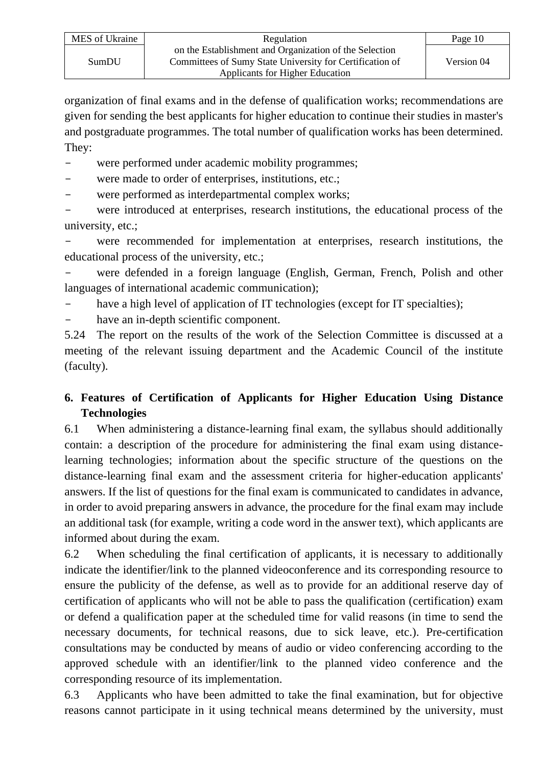| MES of Ukraine | Regulation                                                                                                         | Page 10    |
|----------------|--------------------------------------------------------------------------------------------------------------------|------------|
| SumDU          | on the Establishment and Organization of the Selection<br>Committees of Sumy State University for Certification of | Version 04 |
|                | Applicants for Higher Education                                                                                    |            |

organization of final exams and in the defense of qualification works; recommendations are given for sending the best applicants for higher education to continue their studies in master's and postgraduate programmes. The total number of qualification works has been determined. They:

- were performed under academic mobility programmes;
- were made to order of enterprises, institutions, etc.;
- were performed as interdepartmental complex works;

were introduced at enterprises, research institutions, the educational process of the university, etc.;

were recommended for implementation at enterprises, research institutions, the educational process of the university, etc.;

were defended in a foreign language (English, German, French, Polish and other languages of international academic communication);

have a high level of application of IT technologies (except for IT specialties);

have an in-depth scientific component.

5.24 The report on the results of the work of the Selection Committee is discussed at a meeting of the relevant issuing department and the Academic Council of the institute (faculty).

# **6. Features of Certification of Applicants for Higher Education Using Distance Technologies**

6.1 When administering a distance-learning final exam, the syllabus should additionally contain: a description of the procedure for administering the final exam using distancelearning technologies; information about the specific structure of the questions on the distance-learning final exam and the assessment criteria for higher-education applicants' answers. If the list of questions for the final exam is communicated to candidates in advance, in order to avoid preparing answers in advance, the procedure for the final exam may include an additional task (for example, writing a code word in the answer text), which applicants are informed about during the exam.

6.2 When scheduling the final certification of applicants, it is necessary to additionally indicate the identifier/link to the planned videoconference and its corresponding resource to ensure the publicity of the defense, as well as to provide for an additional reserve day of certification of applicants who will not be able to pass the qualification (certification) exam or defend a qualification paper at the scheduled time for valid reasons (in time to send the necessary documents, for technical reasons, due to sick leave, etc.). Pre-certification consultations may be conducted by means of audio or video conferencing according to the approved schedule with an identifier/link to the planned video conference and the corresponding resource of its implementation.

6.3 Applicants who have been admitted to take the final examination, but for objective reasons cannot participate in it using technical means determined by the university, must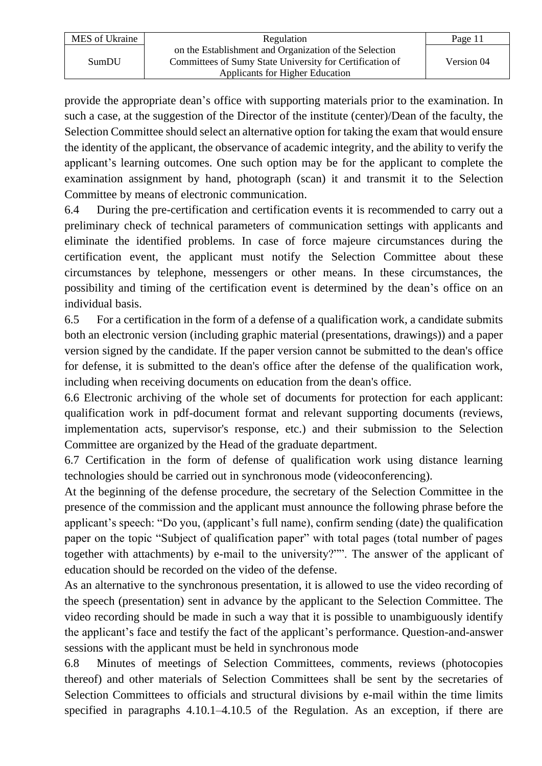| MES of Ukraine | Regulation                                                                                                         | Page 11    |
|----------------|--------------------------------------------------------------------------------------------------------------------|------------|
| SumDU          | on the Establishment and Organization of the Selection<br>Committees of Sumy State University for Certification of | Version 04 |
|                | Applicants for Higher Education                                                                                    |            |

provide the appropriate dean's office with supporting materials prior to the examination. In such a case, at the suggestion of the Director of the institute (center)/Dean of the faculty, the Selection Committee should select an alternative option for taking the exam that would ensure the identity of the applicant, the observance of academic integrity, and the ability to verify the applicant's learning outcomes. One such option may be for the applicant to complete the examination assignment by hand, photograph (scan) it and transmit it to the Selection Committee by means of electronic communication.

6.4 During the pre-certification and certification events it is recommended to carry out a preliminary check of technical parameters of communication settings with applicants and eliminate the identified problems. In case of force majeure circumstances during the certification event, the applicant must notify the Selection Committee about these circumstances by telephone, messengers or other means. In these circumstances, the possibility and timing of the certification event is determined by the dean's office on an individual basis.

6.5 For a certification in the form of a defense of a qualification work, a candidate submits both an electronic version (including graphic material (presentations, drawings)) and a paper version signed by the candidate. If the paper version cannot be submitted to the dean's office for defense, it is submitted to the dean's office after the defense of the qualification work, including when receiving documents on education from the dean's office.

6.6 Electronic archiving of the whole set of documents for protection for each applicant: qualification work in pdf-document format and relevant supporting documents (reviews, implementation acts, supervisor's response, etc.) and their submission to the Selection Committee are organized by the Head of the graduate department.

6.7 Certification in the form of defense of qualification work using distance learning technologies should be carried out in synchronous mode (videoconferencing).

At the beginning of the defense procedure, the secretary of the Selection Committee in the presence of the commission and the applicant must announce the following phrase before the applicant's speech: "Do you, (applicant's full name), confirm sending (date) the qualification paper on the topic "Subject of qualification paper" with total pages (total number of pages together with attachments) by e-mail to the university?"". The answer of the applicant of education should be recorded on the video of the defense.

As an alternative to the synchronous presentation, it is allowed to use the video recording of the speech (presentation) sent in advance by the applicant to the Selection Committee. The video recording should be made in such a way that it is possible to unambiguously identify the applicant's face and testify the fact of the applicant's performance. Question-and-answer sessions with the applicant must be held in synchronous mode

6.8 Minutes of meetings of Selection Committees, comments, reviews (photocopies thereof) and other materials of Selection Committees shall be sent by the secretaries of Selection Committees to officials and structural divisions by e-mail within the time limits specified in paragraphs 4.10.1–4.10.5 of the Regulation. As an exception, if there are